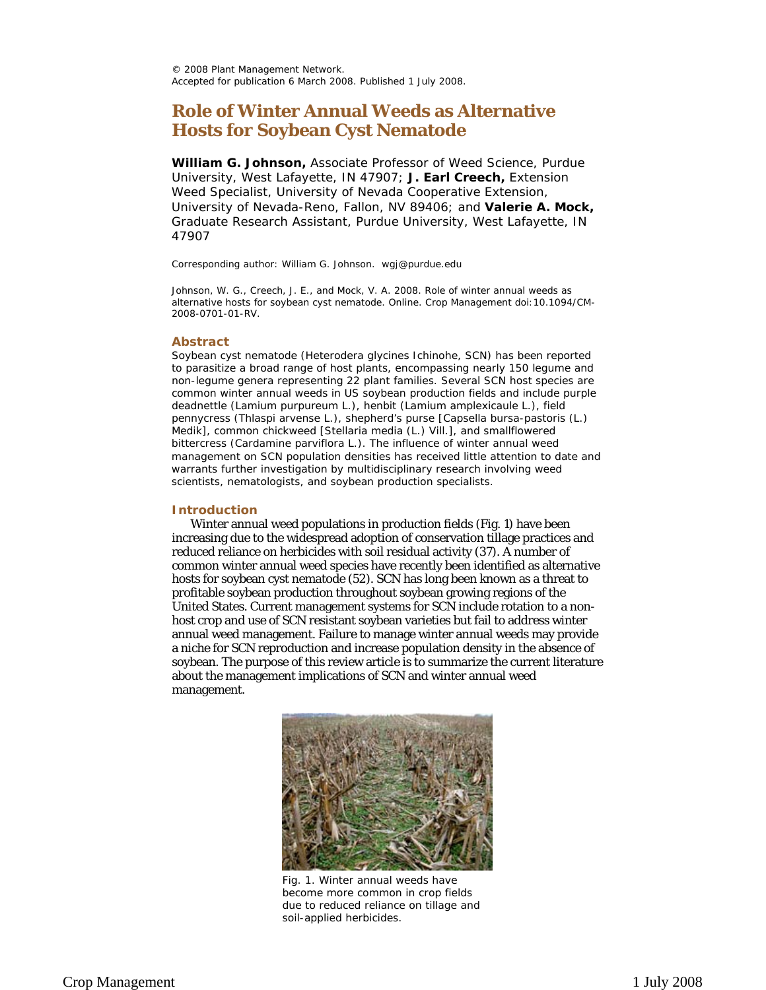© 2008 Plant Management Network. Accepted for publication 6 March 2008. Published 1 July 2008.

# **Role of Winter Annual Weeds as Alternative Hosts for Soybean Cyst Nematode**

**William G. Johnson,** Associate Professor of Weed Science, Purdue University, West Lafayette, IN 47907; **J. Earl Creech,** Extension Weed Specialist, University of Nevada Cooperative Extension, University of Nevada-Reno, Fallon, NV 89406; and **Valerie A. Mock,**  Graduate Research Assistant, Purdue University, West Lafayette, IN 47907

Corresponding author: William G. Johnson. wgj@purdue.edu

Johnson, W. G., Creech, J. E., and Mock, V. A. 2008. Role of winter annual weeds as alternative hosts for soybean cyst nematode. Online. Crop Management doi:10.1094/CM-2008-0701-01-RV.

#### **Abstract**

 Soybean cyst nematode (*Heterodera glycines* Ichinohe, SCN) has been reported bittercress (*Cardamine parviflora* L.). The influence of winter annual weed to parasitize a broad range of host plants, encompassing nearly 150 legume and non-legume genera representing 22 plant families. Several SCN host species are common winter annual weeds in US soybean production fields and include purple deadnettle (*Lamium purpureum* L.), henbit (*Lamium amplexicaule* L.), field pennycress (*Thlaspi arvense* L.), shepherd's purse [*Capsella bursa-pastoris* (L.) Medik], common chickweed [*Stellaria media* (L.) Vill.], and smallflowered management on SCN population densities has received little attention to date and warrants further investigation by multidisciplinary research involving weed scientists, nematologists, and soybean production specialists.

#### **Introduction**

Winter annual weed populations in production fields (Fig. 1) have been increasing due to the widespread adoption of conservation tillage practices and reduced reliance on herbicides with soil residual activity (37). A number of common winter annual weed species have recently been identified as alternative hosts for soybean cyst nematode (52). SCN has long been known as a threat to profitable soybean production throughout soybean growing regions of the United States. Current management systems for SCN include rotation to a nonhost crop and use of SCN resistant soybean varieties but fail to address winter annual weed management. Failure to manage winter annual weeds may provide a niche for SCN reproduction and increase population density in the absence of soybean. The purpose of this review article is to summarize the current literature about the management implications of SCN and winter annual weed management.



Fig. 1. Winter annual weeds have become more common in crop fields due to reduced reliance on tillage and soil-applied herbicides.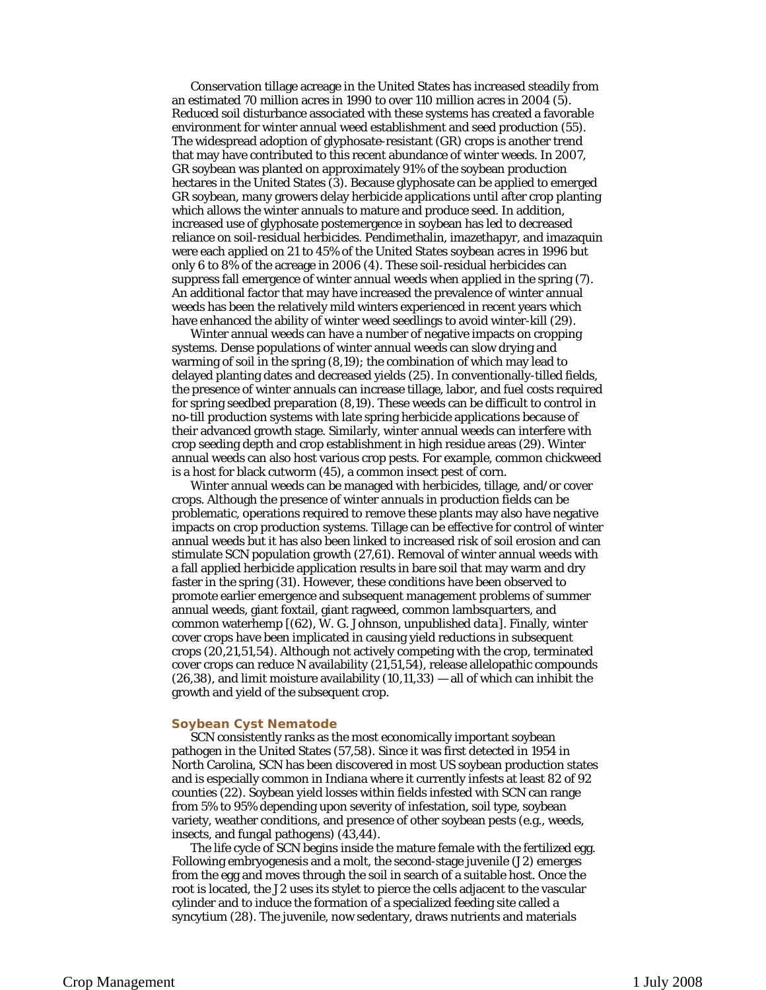Conservation tillage acreage in the United States has increased steadily from an estimated 70 million acres in 1990 to over 110 million acres in 2004 (5). Reduced soil disturbance associated with these systems has created a favorable environment for winter annual weed establishment and seed production (55). The widespread adoption of glyphosate-resistant (GR) crops is another trend that may have contributed to this recent abundance of winter weeds. In 2007, GR soybean was planted on approximately 91% of the soybean production hectares in the United States (3). Because glyphosate can be applied to emerged GR soybean, many growers delay herbicide applications until after crop planting which allows the winter annuals to mature and produce seed. In addition, increased use of glyphosate postemergence in soybean has led to decreased reliance on soil-residual herbicides. Pendimethalin, imazethapyr, and imazaquin were each applied on 21 to 45% of the United States soybean acres in 1996 but only 6 to 8% of the acreage in 2006 (4). These soil-residual herbicides can suppress fall emergence of winter annual weeds when applied in the spring (7). An additional factor that may have increased the prevalence of winter annual weeds has been the relatively mild winters experienced in recent years which have enhanced the ability of winter weed seedlings to avoid winter-kill (29).

Winter annual weeds can have a number of negative impacts on cropping systems. Dense populations of winter annual weeds can slow drying and warming of soil in the spring (8,19); the combination of which may lead to delayed planting dates and decreased yields (25). In conventionally-tilled fields, the presence of winter annuals can increase tillage, labor, and fuel costs required for spring seedbed preparation (8,19). These weeds can be difficult to control in no-till production systems with late spring herbicide applications because of their advanced growth stage. Similarly, winter annual weeds can interfere with crop seeding depth and crop establishment in high residue areas (29). Winter annual weeds can also host various crop pests. For example, common chickweed is a host for black cutworm (45), a common insect pest of corn.

Winter annual weeds can be managed with herbicides, tillage, and/or cover crops. Although the presence of winter annuals in production fields can be problematic, operations required to remove these plants may also have negative impacts on crop production systems. Tillage can be effective for control of winter annual weeds but it has also been linked to increased risk of soil erosion and can stimulate SCN population growth (27,61). Removal of winter annual weeds with a fall applied herbicide application results in bare soil that may warm and dry faster in the spring (31). However, these conditions have been observed to promote earlier emergence and subsequent management problems of summer annual weeds, giant foxtail, giant ragweed, common lambsquarters, and common waterhemp [(62), W. G. Johnson, *unpublished data*]. Finally, winter cover crops have been implicated in causing yield reductions in subsequent crops (20,21,51,54). Although not actively competing with the crop, terminated cover crops can reduce N availability (21,51,54), release allelopathic compounds  $(26,38)$ , and limit moisture availability  $(10,11,33)$  — all of which can inhibit the growth and yield of the subsequent crop.

### **Soybean Cyst Nematode**

SCN consistently ranks as the most economically important soybean pathogen in the United States (57,58). Since it was first detected in 1954 in North Carolina, SCN has been discovered in most US soybean production states and is especially common in Indiana where it currently infests at least 82 of 92 counties (22). Soybean yield losses within fields infested with SCN can range from 5% to 95% depending upon severity of infestation, soil type, soybean variety, weather conditions, and presence of other soybean pests (e.g., weeds, insects, and fungal pathogens) (43,44).

The life cycle of SCN begins inside the mature female with the fertilized egg. Following embryogenesis and a molt, the second-stage juvenile (J2) emerges from the egg and moves through the soil in search of a suitable host. Once the root is located, the J2 uses its stylet to pierce the cells adjacent to the vascular cylinder and to induce the formation of a specialized feeding site called a syncytium (28). The juvenile, now sedentary, draws nutrients and materials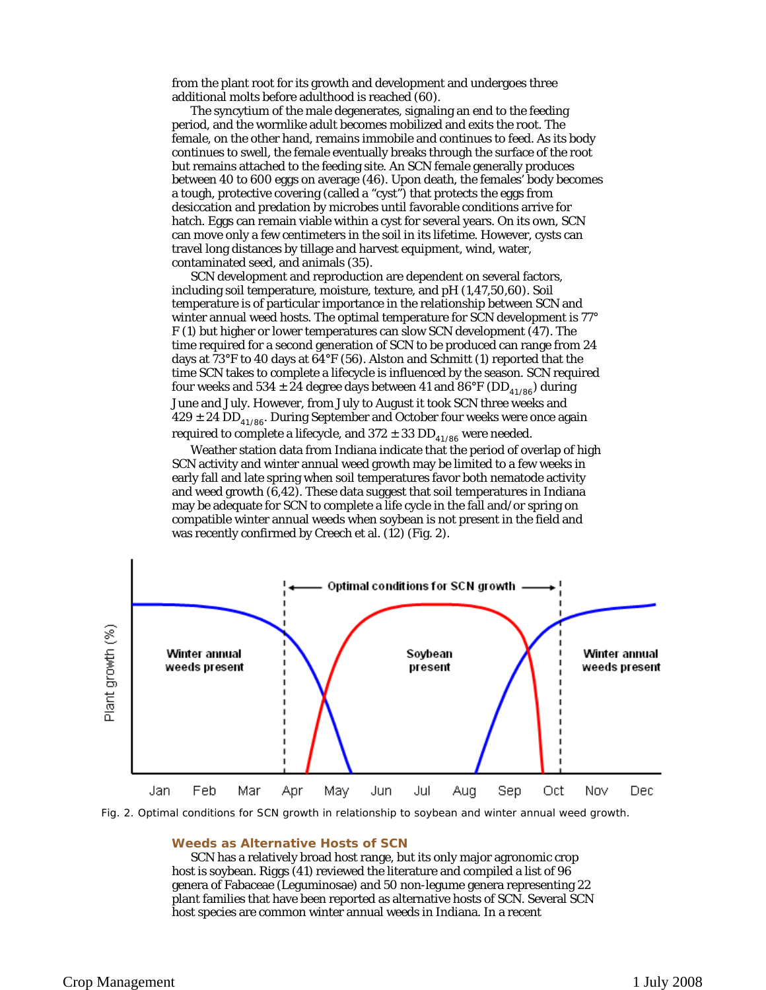from the plant root for its growth and development and undergoes three additional molts before adulthood is reached (60).

contaminated seed, and animals (35). The syncytium of the male degenerates, signaling an end to the feeding period, and the wormlike adult becomes mobilized and exits the root. The female, on the other hand, remains immobile and continues to feed. As its body continues to swell, the female eventually breaks through the surface of the root but remains attached to the feeding site. An SCN female generally produces between 40 to 600 eggs on average (46). Upon death, the females' body becomes a tough, protective covering (called a "cyst") that protects the eggs from desiccation and predation by microbes until favorable conditions arrive for hatch. Eggs can remain viable within a cyst for several years. On its own, SCN can move only a few centimeters in the soil in its lifetime. However, cysts can travel long distances by tillage and harvest equipment, wind, water,

SCN development and reproduction are dependent on several factors, including soil temperature, moisture, texture, and pH (1,47,50,60). Soil temperature is of particular importance in the relationship between SCN and winter annual weed hosts. The optimal temperature for SCN development is 77° F (1) but higher or lower temperatures can slow SCN development (47). The time required for a second generation of SCN to be produced can range from 24 days at 73°F to 40 days at 64°F (56). Alston and Schmitt (1) reported that the time SCN takes to complete a lifecycle is influenced by the season. SCN required four weeks and 534  $\pm$  24 degree days between 41 and 86°F (DD<sub>41/86</sub>) during June and July. However, from July to August it took SCN three weeks and  $429 \pm 24$  DD<sub>41/86</sub>. During September and October four weeks were once again required to complete a lifecycle, and  $372 \pm 33$  DD<sub>41/86</sub> were needed.

Weather station data from Indiana indicate that the period of overlap of high SCN activity and winter annual weed growth may be limited to a few weeks in early fall and late spring when soil temperatures favor both nematode activity and weed growth (6,42). These data suggest that soil temperatures in Indiana may be adequate for SCN to complete a life cycle in the fall and/or spring on compatible winter annual weeds when soybean is not present in the field and was recently confirmed by Creech et al. (12) (Fig. 2).



Fig. 2. Optimal conditions for SCN growth in relationship to soybean and winter annual weed growth.

## **Weeds as Alternative Hosts of SCN**

SCN has a relatively broad host range, but its only major agronomic crop host is soybean. Riggs (41) reviewed the literature and compiled a list of 96 genera of Fabaceae (Leguminosae) and 50 non-legume genera representing 22 plant families that have been reported as alternative hosts of SCN. Several SCN host species are common winter annual weeds in Indiana. In a recent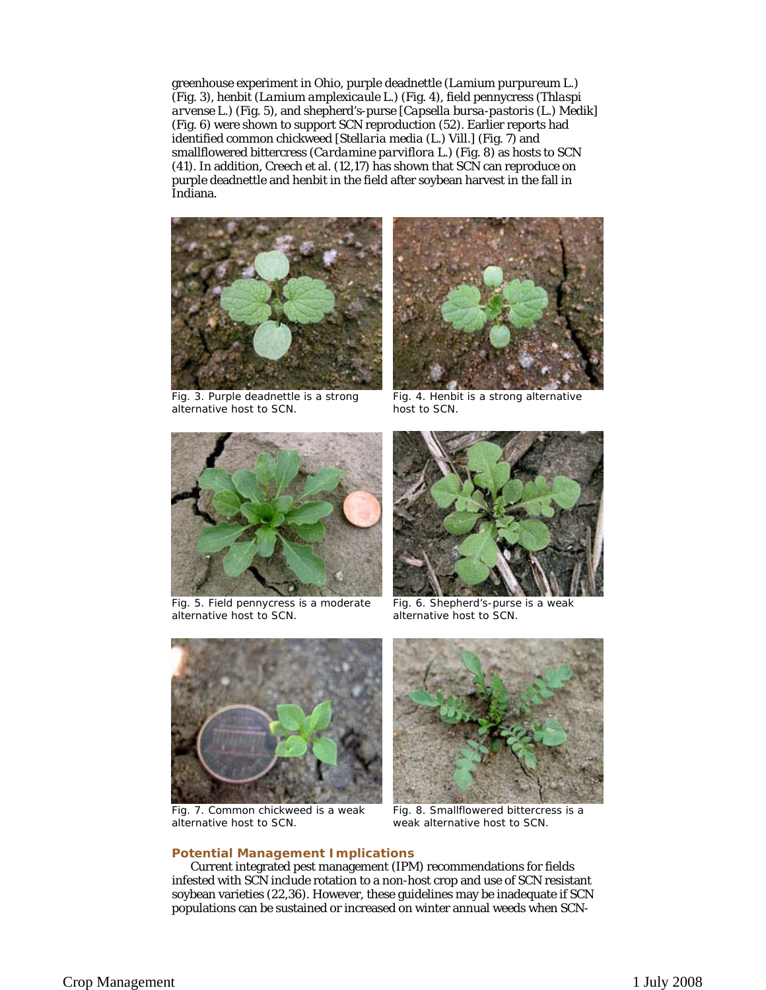*arvense* L.) (Fig. 5), and shepherd's-purse [*Capsella bursa-pastoris* (L.) Medik] greenhouse experiment in Ohio, purple deadnettle (*Lamium purpureum* L.) (Fig. 3), henbit (*Lamium amplexicaule* L.) (Fig. 4), field pennycress (*Thlaspi*  (Fig. 6) were shown to support SCN reproduction (52). Earlier reports had identified common chickweed [*Stellaria media* (L.) Vill.] (Fig. 7) and smallflowered bittercress (*Cardamine parviflora* L.) (Fig. 8) as hosts to SCN (41). In addition, Creech et al. (12,17) has shown that SCN can reproduce on purple deadnettle and henbit in the field after soybean harvest in the fall in Indiana.



Fig. 3. Purple deadnettle is a strong alternative host to SCN.



Fig. 4. Henbit is a strong alternative host to SCN.



Fig. 5. Field pennycress is a moderate alternative host to SCN.



 Fig. 6. Shepherd's-purse is a weak alternative host to SCN.



Fig. 7. Common chickweed is a weak alternative host to SCN.



Fig. 8. Smallflowered bittercress is a weak alternative host to SCN.

# **Potential Management Implications**

Current integrated pest management (IPM) recommendations for fields infested with SCN include rotation to a non-host crop and use of SCN resistant soybean varieties (22,36). However, these guidelines may be inadequate if SCN populations can be sustained or increased on winter annual weeds when SCN-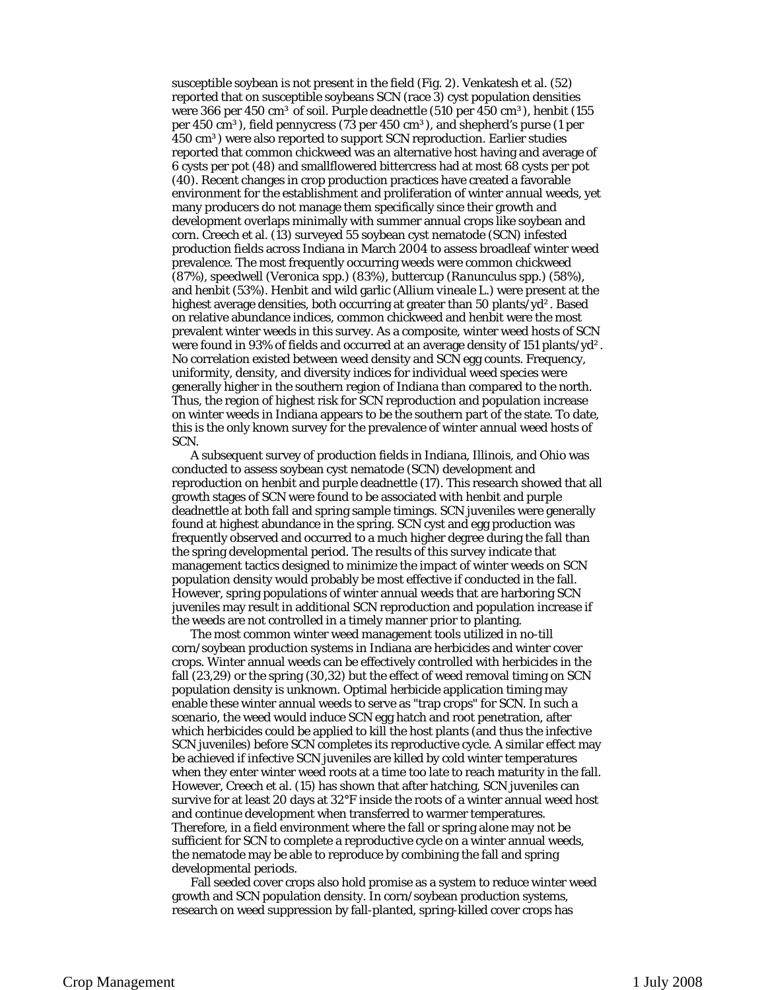susceptible soybean is not present in the field (Fig. 2). Venkatesh et al. (52) reported that on susceptible soybeans SCN (race 3) cyst population densities were 366 per 450 cm<sup>3</sup> of soil. Purple deadnettle (510 per 450 cm<sup>3</sup>), henbit (155 per 450 cm<sup>3</sup>), field pennycress (73 per 450 cm<sup>3</sup>), and shepherd's purse (1 per 450 cm<sup>3</sup>) were also reported to support SCN reproduction. Earlier studies reported that common chickweed was an alternative host having and average of 6 cysts per pot (48) and smallflowered bittercress had at most 68 cysts per pot (40). Recent changes in crop production practices have created a favorable environment for the establishment and proliferation of winter annual weeds, yet many producers do not manage them specifically since their growth and development overlaps minimally with summer annual crops like soybean and corn. Creech et al. (13) surveyed 55 soybean cyst nematode (SCN) infested production fields across Indiana in March 2004 to assess broadleaf winter weed prevalence. The most frequently occurring weeds were common chickweed (87%), speedwell (*Veronica* spp.) (83%), buttercup (*Ranunculus* spp.) (58%), and henbit (53%). Henbit and wild garlic (*Allium vineale* L.) were present at the highest average densities, both occurring at greater than 50 plants/yd<sup>2</sup>. Based on relative abundance indices, common chickweed and henbit were the most prevalent winter weeds in this survey. As a composite, winter weed hosts of SCN were found in 93% of fields and occurred at an average density of 151 plants/yd². No correlation existed between weed density and SCN egg counts. Frequency, uniformity, density, and diversity indices for individual weed species were generally higher in the southern region of Indiana than compared to the north. Thus, the region of highest risk for SCN reproduction and population increase on winter weeds in Indiana appears to be the southern part of the state. To date, this is the only known survey for the prevalence of winter annual weed hosts of

SCN. A subsequent survey of production fields in Indiana, Illinois, and Ohio was conducted to assess soybean cyst nematode (SCN) development and reproduction on henbit and purple deadnettle (17). This research showed that all growth stages of SCN were found to be associated with henbit and purple deadnettle at both fall and spring sample timings. SCN juveniles were generally found at highest abundance in the spring. SCN cyst and egg production was frequently observed and occurred to a much higher degree during the fall than the spring developmental period. The results of this survey indicate that management tactics designed to minimize the impact of winter weeds on SCN population density would probably be most effective if conducted in the fall. However, spring populations of winter annual weeds that are harboring SCN juveniles may result in additional SCN reproduction and population increase if the weeds are not controlled in a timely manner prior to planting.

The most common winter weed management tools utilized in no-till corn/soybean production systems in Indiana are herbicides and winter cover crops. Winter annual weeds can be effectively controlled with herbicides in the fall (23,29) or the spring (30,32) but the effect of weed removal timing on SCN population density is unknown. Optimal herbicide application timing may enable these winter annual weeds to serve as "trap crops" for SCN. In such a scenario, the weed would induce SCN egg hatch and root penetration, after which herbicides could be applied to kill the host plants (and thus the infective SCN juveniles) before SCN completes its reproductive cycle. A similar effect may be achieved if infective SCN juveniles are killed by cold winter temperatures when they enter winter weed roots at a time too late to reach maturity in the fall. However, Creech et al. (15) has shown that after hatching, SCN juveniles can survive for at least 20 days at 32°F inside the roots of a winter annual weed host and continue development when transferred to warmer temperatures. Therefore, in a field environment where the fall or spring alone may not be sufficient for SCN to complete a reproductive cycle on a winter annual weeds, the nematode may be able to reproduce by combining the fall and spring developmental periods.

Fall seeded cover crops also hold promise as a system to reduce winter weed growth and SCN population density. In corn/soybean production systems, research on weed suppression by fall-planted, spring-killed cover crops has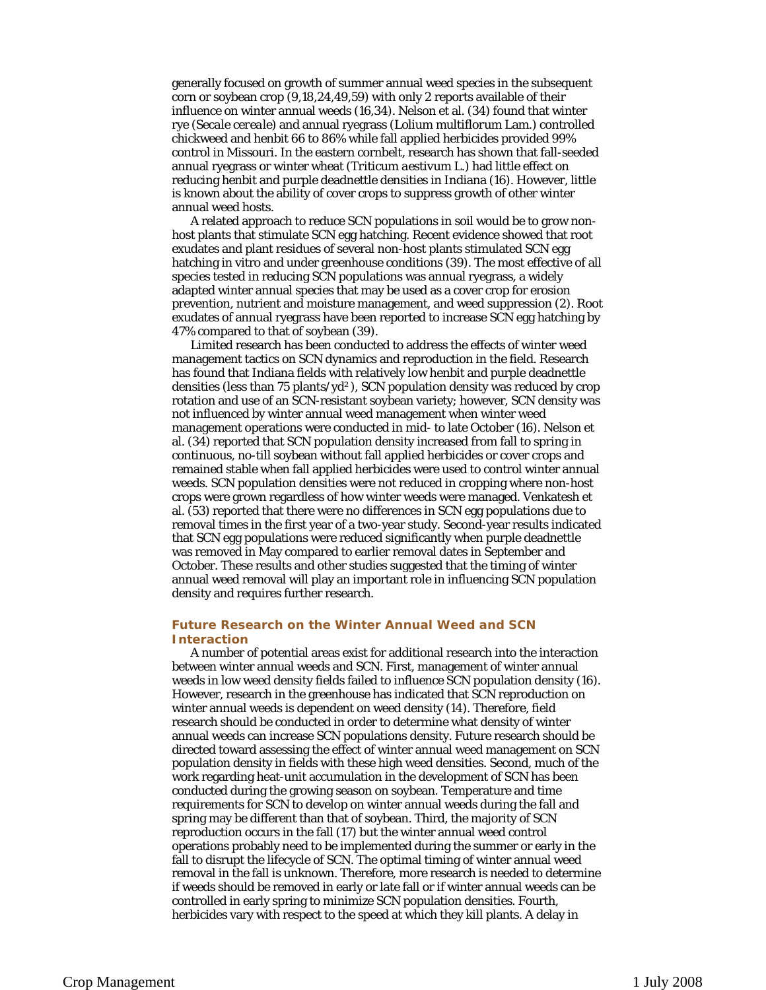generally focused on growth of summer annual weed species in the subsequent corn or soybean crop (9,18,24,49,59) with only 2 reports available of their influence on winter annual weeds (16,34). Nelson et al. (34) found that winter rye (*Secale cereale*) and annual ryegrass (*Lolium multiflorum* Lam.) controlled chickweed and henbit 66 to 86% while fall applied herbicides provided 99% control in Missouri. In the eastern cornbelt, research has shown that fall-seeded annual ryegrass or winter wheat (*Triticum aestivum* L.) had little effect on reducing henbit and purple deadnettle densities in Indiana (16). However, little is known about the ability of cover crops to suppress growth of other winter annual weed hosts. A related approach to reduce SCN populations in soil would be to grow non-

 adapted winter annual species that may be used as a cover crop for erosion host plants that stimulate SCN egg hatching. Recent evidence showed that root exudates and plant residues of several non-host plants stimulated SCN egg hatching in vitro and under greenhouse conditions (39). The most effective of all species tested in reducing SCN populations was annual ryegrass, a widely prevention, nutrient and moisture management, and weed suppression (2). Root exudates of annual ryegrass have been reported to increase SCN egg hatching by 47% compared to that of soybean (39).

Limited research has been conducted to address the effects of winter weed management tactics on SCN dynamics and reproduction in the field. Research has found that Indiana fields with relatively low henbit and purple deadnettle densities (less than 75 plants/yd²), SCN population density was reduced by crop rotation and use of an SCN-resistant soybean variety; however, SCN density was not influenced by winter annual weed management when winter weed management operations were conducted in mid- to late October (16). Nelson et al. (34) reported that SCN population density increased from fall to spring in continuous, no-till soybean without fall applied herbicides or cover crops and remained stable when fall applied herbicides were used to control winter annual weeds. SCN population densities were not reduced in cropping where non-host crops were grown regardless of how winter weeds were managed. Venkatesh et al. (53) reported that there were no differences in SCN egg populations due to removal times in the first year of a two-year study. Second-year results indicated that SCN egg populations were reduced significantly when purple deadnettle was removed in May compared to earlier removal dates in September and October. These results and other studies suggested that the timing of winter annual weed removal will play an important role in influencing SCN population density and requires further research.

# **Future Research on the Winter Annual Weed and SCN Interaction**

A number of potential areas exist for additional research into the interaction between winter annual weeds and SCN. First, management of winter annual weeds in low weed density fields failed to influence SCN population density (16). However, research in the greenhouse has indicated that SCN reproduction on winter annual weeds is dependent on weed density (14). Therefore, field research should be conducted in order to determine what density of winter annual weeds can increase SCN populations density. Future research should be directed toward assessing the effect of winter annual weed management on SCN population density in fields with these high weed densities. Second, much of the work regarding heat-unit accumulation in the development of SCN has been conducted during the growing season on soybean. Temperature and time requirements for SCN to develop on winter annual weeds during the fall and spring may be different than that of soybean. Third, the majority of SCN reproduction occurs in the fall (17) but the winter annual weed control operations probably need to be implemented during the summer or early in the fall to disrupt the lifecycle of SCN. The optimal timing of winter annual weed removal in the fall is unknown. Therefore, more research is needed to determine if weeds should be removed in early or late fall or if winter annual weeds can be controlled in early spring to minimize SCN population densities. Fourth, herbicides vary with respect to the speed at which they kill plants. A delay in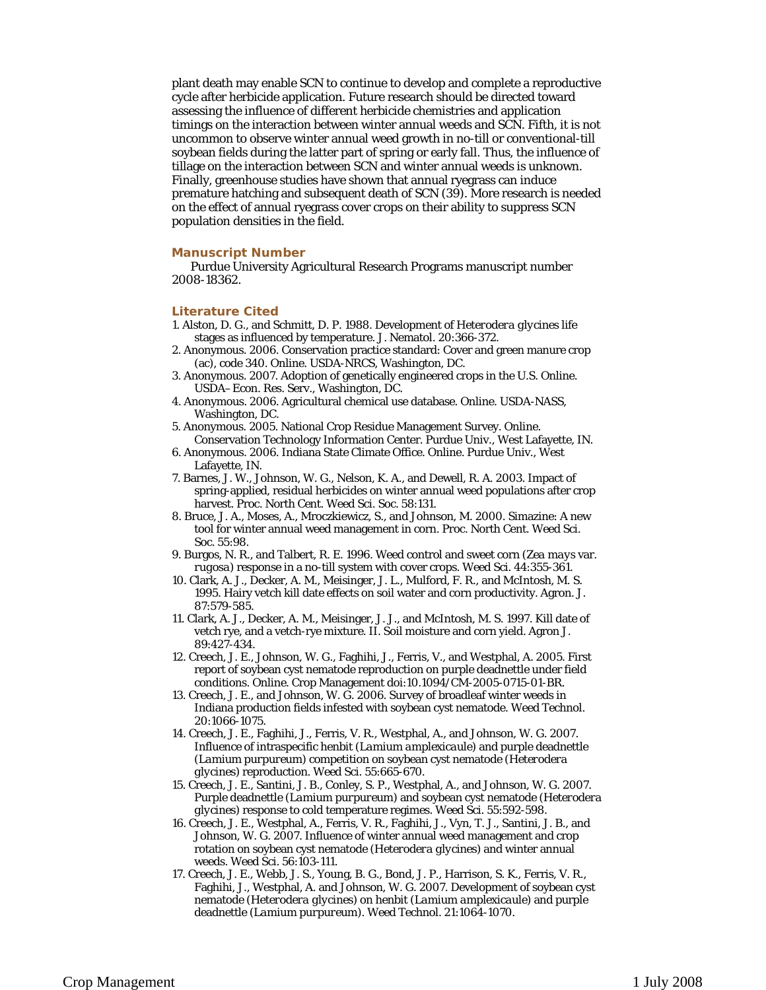plant death may enable SCN to continue to develop and complete a reproductive cycle after herbicide application. Future research should be directed toward assessing the influence of different herbicide chemistries and application timings on the interaction between winter annual weeds and SCN. Fifth, it is not uncommon to observe winter annual weed growth in no-till or conventional-till soybean fields during the latter part of spring or early fall. Thus, the influence of tillage on the interaction between SCN and winter annual weeds is unknown. Finally, greenhouse studies have shown that annual ryegrass can induce premature hatching and subsequent death of SCN (39). More research is needed on the effect of annual ryegrass cover crops on their ability to suppress SCN population densities in the field.

### **Manuscript Number**

Purdue University Agricultural Research Programs manuscript number 2008-18362.

#### **Literature Cited**

- 1. Alston, D. G., and Schmitt, D. P. 1988. Development of *Heterodera glycines* life stages as influenced by temperature. J. Nematol. 20:366-372.
- 2. Anonymous. 2006. Conservation practice standard: Cover and green manure crop (ac), code 340. Online. USDA-NRCS, Washington, DC.
- 3. Anonymous. 2007. Adoption of genetically engineered crops in the U.S. Online. USDA–Econ. Res. Serv., Washington, DC.
- 4. Anonymous. 2006. Agricultural chemical use database. Online. USDA-NASS, Washington, DC.
- 5. Anonymous. 2005. National Crop Residue Management Survey. Online. Conservation Technology Information Center. Purdue Univ., West Lafayette, IN.
- 6. Anonymous. 2006. Indiana State Climate Office. Online. Purdue Univ., West Lafayette, IN.
- 7. Barnes, J. W., Johnson, W. G., Nelson, K. A., and Dewell, R. A. 2003. Impact of spring-applied, residual herbicides on winter annual weed populations after crop harvest. Proc. North Cent. Weed Sci. Soc. 58:131.
- 8. Bruce, J. A., Moses, A., Mroczkiewicz, S., and Johnson, M. 2000. Simazine: A new tool for winter annual weed management in corn. Proc. North Cent. Weed Sci. Soc. 55:98.
- 9. Burgos, N. R., and Talbert, R. E. 1996. Weed control and sweet corn (*Zea mays* var. *rugosa*) response in a no-till system with cover crops. Weed Sci. 44:355-361.
- 10. Clark, A. J., Decker, A. M., Meisinger, J. L., Mulford, F. R., and McIntosh, M. S. 1995. Hairy vetch kill date effects on soil water and corn productivity. Agron. J. 87:579-585.
- 11. Clark, A. J., Decker, A. M., Meisinger, J. J., and McIntosh, M. S. 1997. Kill date of vetch rye, and a vetch-rye mixture. II. Soil moisture and corn yield. Agron J. 89:427-434.
- 12. Creech, J. E., Johnson, W. G., Faghihi, J., Ferris, V., and Westphal, A. 2005. First report of soybean cyst nematode reproduction on purple deadnettle under field conditions. Online. Crop Management doi:10.1094/CM-2005-0715-01-BR.
- Indiana production fields infested with soybean cyst nematode. Weed Technol. 13. Creech, J. E., and Johnson, W. G. 2006. Survey of broadleaf winter weeds in 20:1066-1075.
- 14. Creech, J. E., Faghihi, J., Ferris, V. R., Westphal, A., and Johnson, W. G. 2007. Influence of intraspecific henbit (*Lamium amplexicaule*) and purple deadnettle (*Lamium purpureum*) competition on soybean cyst nematode (*Heterodera glycines*) reproduction. Weed Sci. 55:665-670.
- 15. Creech, J. E., Santini, J. B., Conley, S. P., Westphal, A., and Johnson, W. G. 2007. Purple deadnettle (*Lamium purpureum*) and soybean cyst nematode (*Heterodera glycines*) response to cold temperature regimes. Weed Sci. 55:592-598.
- rotation on soybean cyst nematode (*Heterodera glycines*) and winter annual 16. Creech, J. E., Westphal, A., Ferris, V. R., Faghihi, J., Vyn, T. J., Santini, J. B., and Johnson, W. G. 2007. Influence of winter annual weed management and crop weeds. Weed Sci. 56:103-111.
- 17. Creech, J. E., Webb, J. S., Young, B. G., Bond, J. P., Harrison, S. K., Ferris, V. R., Faghihi, J., Westphal, A. and Johnson, W. G. 2007. Development of soybean cyst nematode (*Heterodera glycines*) on henbit (*Lamium amplexicaule*) and purple deadnettle (*Lamium purpureum*). Weed Technol. 21:1064-1070.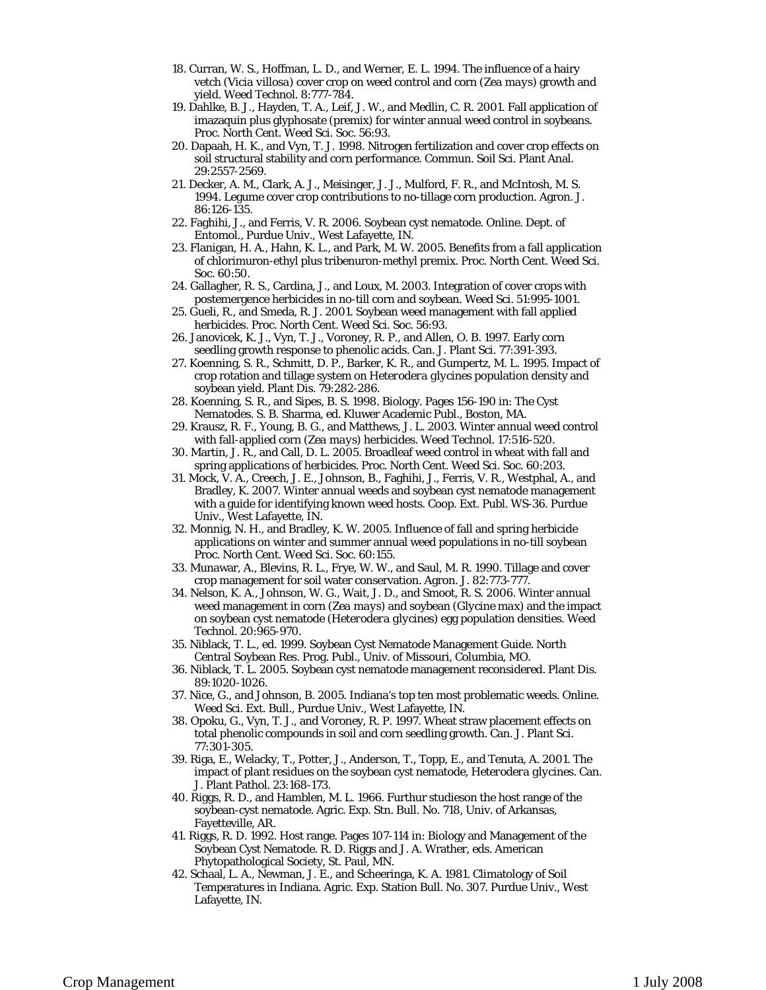- 18. Curran, W. S., Hoffman, L. D., and Werner, E. L. 1994. The influence of a hairy vetch (*Vicia villosa*) cover crop on weed control and corn (*Zea mays*) growth and yield. Weed Technol. 8:777-784.
- 19. Dahlke, B. J., Hayden, T. A., Leif, J. W., and Medlin, C. R. 2001. Fall application of imazaquin plus glyphosate (premix) for winter annual weed control in soybeans. Proc. North Cent. Weed Sci. Soc. 56:93.
- 20. Dapaah, H. K., and Vyn, T. J. 1998. Nitrogen fertilization and cover crop effects on soil structural stability and corn performance. Commun. Soil Sci. Plant Anal. 29:2557-2569.
- 21. Decker, A. M., Clark, A. J., Meisinger, J. J., Mulford, F. R., and McIntosh, M. S. 1994. Legume cover crop contributions to no-tillage corn production. Agron. J. 86:126-135.
- 22. Faghihi, J., and Ferris, V. R. 2006. Soybean cyst nematode. Online. Dept. of Entomol., Purdue Univ., West Lafayette, IN.
- 23. Flanigan, H. A., Hahn, K. L., and Park, M. W. 2005. Benefits from a fall application of chlorimuron-ethyl plus tribenuron-methyl premix. Proc. North Cent. Weed Sci. Soc. 60:50.
- 24. Gallagher, R. S., Cardina, J., and Loux, M. 2003. Integration of cover crops with postemergence herbicides in no-till corn and soybean. Weed Sci. 51:995-1001.
- 25. Gueli, R., and Smeda, R. J. 2001. Soybean weed management with fall applied herbicides. Proc. North Cent. Weed Sci. Soc. 56:93.
- 26. Janovicek, K. J., Vyn, T. J., Voroney, R. P., and Allen, O. B. 1997. Early corn seedling growth response to phenolic acids. Can. J. Plant Sci. 77:391-393.
- 27. Koenning, S. R., Schmitt, D. P., Barker, K. R., and Gumpertz, M. L. 1995. Impact of crop rotation and tillage system on *Heterodera glycines* population density and soybean yield. Plant Dis. 79:282-286.
- 28. Koenning, S. R., and Sipes, B. S. 1998. Biology. Pages 156-190 in: The Cyst Nematodes. S. B. Sharma, ed. Kluwer Academic Publ., Boston, MA.
- 29. Krausz, R. F., Young, B. G., and Matthews, J. L. 2003. Winter annual weed control with fall-applied corn (*Zea mays*) herbicides. Weed Technol. 17:516-520.
- 30. Martin, J. R., and Call, D. L. 2005. Broadleaf weed control in wheat with fall and spring applications of herbicides. Proc. North Cent. Weed Sci. Soc. 60:203.
- 31. Mock, V. A., Creech, J. E., Johnson, B., Faghihi, J., Ferris, V. R., Westphal, A., and Bradley, K. 2007. Winter annual weeds and soybean cyst nematode management with a guide for identifying known weed hosts. Coop. Ext. Publ. WS-36. Purdue Univ., West Lafayette, IN.
- 32. Monnig, N. H., and Bradley, K. W. 2005. Influence of fall and spring herbicide applications on winter and summer annual weed populations in no-till soybean Proc. North Cent. Weed Sci. Soc. 60:155.
- 33. Munawar, A., Blevins, R. L., Frye, W. W., and Saul, M. R. 1990. Tillage and cover crop management for soil water conservation. Agron. J. 82:773-777.
- 34. Nelson, K. A., Johnson, W. G., Wait, J. D., and Smoot, R. S. 2006. Winter annual weed management in corn (*Zea mays*) and soybean (*Glycine max*) and the impact on soybean cyst nematode (*Heterodera glycines*) egg population densities. Weed Technol. 20:965-970.
- Central Soybean Res. Prog. Publ., Univ. of Missouri, Columbia, MO. 35. Niblack, T. L., ed. 1999. Soybean Cyst Nematode Management Guide. North
- 36. Niblack, T. L. 2005. Soybean cyst nematode management reconsidered. Plant Dis. 89:1020-1026.
- 37. Nice, G., and Johnson, B. 2005. Indiana's top ten most problematic weeds. Online. Weed Sci. Ext. Bull., Purdue Univ., West Lafayette, IN.
- 38. Opoku, G., Vyn, T. J., and Voroney, R. P. 1997. Wheat straw placement effects on total phenolic compounds in soil and corn seedling growth. Can. J. Plant Sci. 77:301-305. 39. Riga, E., Welacky, T., Potter, J., Anderson, T., Topp, E., and Tenuta, A. 2001. The
- impact of plant residues on the soybean cyst nematode, *Heterodera glycines*. Can. J. Plant Pathol. 23:168-173.
- soybean-cyst nematode. Agric. Exp. Stn. Bull. No. 718, Univ. of Arkansas, 40. Riggs, R. D., and Hamblen, M. L. 1966. Furthur studieson the host range of the Fayetteville, AR.
- 41. Riggs, R. D. 1992. Host range. Pages 107-114 in: Biology and Management of the Soybean Cyst Nematode. R. D. Riggs and J. A. Wrather, eds. American Phytopathological Society, St. Paul, MN.
- 42. Schaal, L. A., Newman, J. E., and Scheeringa, K. A. 1981. Climatology of Soil Temperatures in Indiana. Agric. Exp. Station Bull. No. 307. Purdue Univ., West Lafayette, IN.